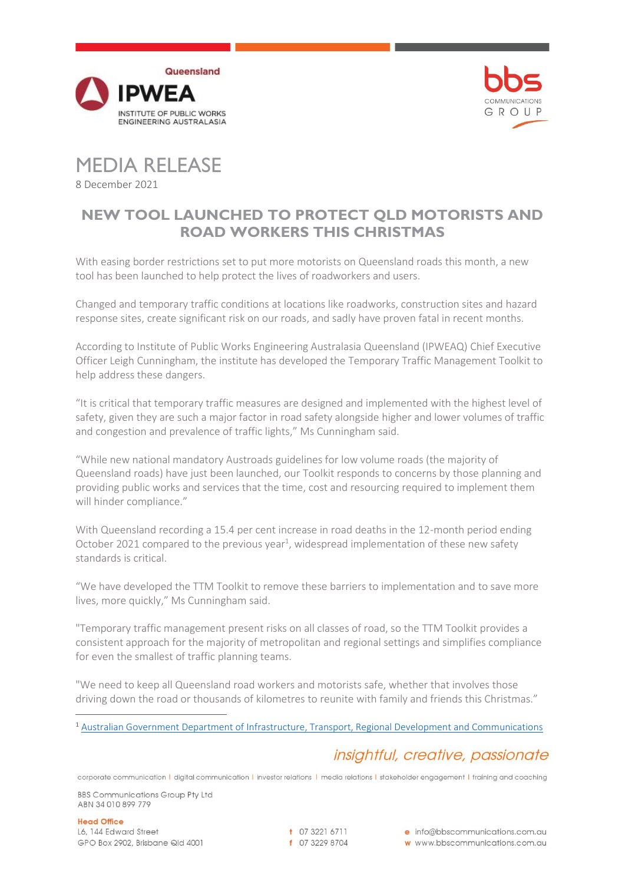



MEDIA RELEASE 8 December 2021

## **NEW TOOL LAUNCHED TO PROTECT QLD MOTORISTS AND ROAD WORKERS THIS CHRISTMAS**

With easing border restrictions set to put more motorists on Queensland roads this month, a new tool has been launched to help protect the lives of roadworkers and users.

Changed and temporary traffic conditions at locations like roadworks, construction sites and hazard response sites, create significant risk on our roads, and sadly have proven fatal in recent months.

According to Institute of Public Works Engineering Australasia Queensland (IPWEAQ) Chief Executive Officer Leigh Cunningham, the institute has developed the Temporary Traffic Management Toolkit to help address these dangers.

"It is critical that temporary traffic measures are designed and implemented with the highest level of safety, given they are such a major factor in road safety alongside higher and lower volumes of traffic and congestion and prevalence of traffic lights," Ms Cunningham said.

"While new national mandatory Austroads guidelines for low volume roads (the majority of Queensland roads) have just been launched, our Toolkit responds to concerns by those planning and providing public works and services that the time, cost and resourcing required to implement them will hinder compliance."

With Queensland recording a 15.4 per cent increase in road deaths in the 12-month period ending October 2021 compared to the previous year<sup>1</sup>, widespread implementation of these new safety standards is critical.

"We have developed the TTM Toolkit to remove these barriers to implementation and to save more lives, more quickly," Ms Cunningham said.

"Temporary traffic management present risks on all classes of road, so the TTM Toolkit provides a consistent approach for the majority of metropolitan and regional settings and simplifies compliance for even the smallest of traffic planning teams.

"We need to keep all Queensland road workers and motorists safe, whether that involves those driving down the road or thousands of kilometres to reunite with family and friends this Christmas."

<sup>1</sup> [Australian Government Department of Infrastructure, Transport, Regional Development and Communications](https://www.bitre.gov.au/publications/ongoing/road_deaths_australia_monthly_bulletins)

# insightful, creative, passionate

corporate communication | digital communication | investor relations | media relations | stakeholder engagement | training and coaching

**BBS Communications Group Pty Ltd** ABN 34 010 899 779

**Head Office** L6, 144 Edward Street GPO Box 2902, Brisbane Qld 4001

t 07 3221 6711 f 07 3229 8704 e info@bbscommunications.com.au

w www.bbscommunications.com.au